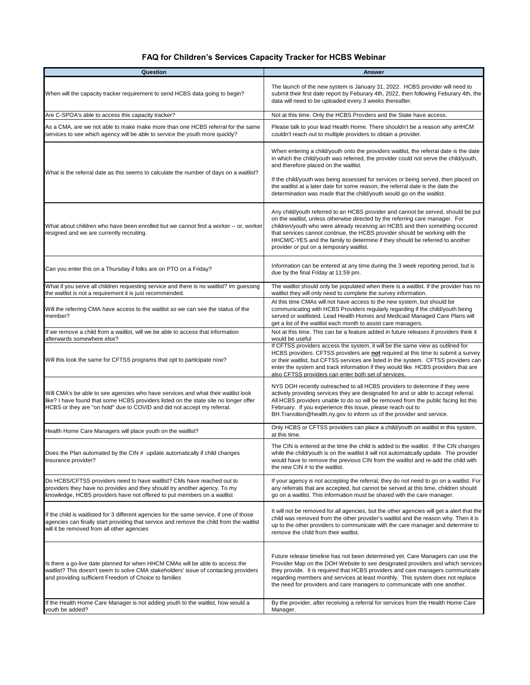## **FAQ for Children's Services Capacity Tracker for HCBS Webinar**

| Question                                                                                                                                                                                                                                             | <b>Answer</b>                                                                                                                                                                                                                                                                                                                                                                                                                                                             |
|------------------------------------------------------------------------------------------------------------------------------------------------------------------------------------------------------------------------------------------------------|---------------------------------------------------------------------------------------------------------------------------------------------------------------------------------------------------------------------------------------------------------------------------------------------------------------------------------------------------------------------------------------------------------------------------------------------------------------------------|
| When will the capacity tracker requirement to send HCBS data going to begin?                                                                                                                                                                         | The launch of the new system is January 31, 2022. HCBS provider will need to<br>submit their first date report by Feburary 4th, 2022, then following Feburary 4th, the<br>data will need to be uploaded every 3 weeks thereafter.                                                                                                                                                                                                                                         |
| Are C-SPOA's able to access this capacity tracker?                                                                                                                                                                                                   | Not at this time. Only the HCBS Provders and the State have access.                                                                                                                                                                                                                                                                                                                                                                                                       |
| As a CMA, are we not able to make make more than one HCBS referral for the same<br>services to see which agency will be able to service the youth more quickly?                                                                                      | Please talk to your lead Health Home. There shouldn't be a reason why aHHCM<br>couldn't reach out to multiple providers to obtain a provider.                                                                                                                                                                                                                                                                                                                             |
| What is the referral date as this seems to calculate the number of days on a waitlist?                                                                                                                                                               | When entering a child/youth onto the providers waitlist, the referral date is the date<br>in which the child/youth was referred, the provider could not serve the child/youth,<br>and therefore placed on the waitlist.<br>If the child/youth was being assessed for services or being served, then placed on<br>the waitlist at a later date for some reason, the referral date is the date the<br>determination was made that the child/youth would go on the waitlist. |
| What about children who have been enrolled but we cannot find a worker -- or, worker<br>resigned and we are currently recruiting.                                                                                                                    | Any child/youth referred to an HCBS provider and cannot be served, should be put<br>on the waitlist, unless otherwise directed by the referring care manager. For<br>children/youth who were already receiving an HCBS and then something occured<br>that services cannot continue, the HCBS provider should be working with the<br>HHCM/C-YES and the family to determine if they should be referred to another<br>provider or put on a temporary waitlist.              |
| Can you enter this on a Thursday if folks are on PTO on a Friday?                                                                                                                                                                                    | Information can be entered at any time during the 3 week reporting period, but is<br>due by the final Friday at 11:59 pm.                                                                                                                                                                                                                                                                                                                                                 |
| What if you serve all children requesting service and there is no waitlist? Im guessing<br>the waitlist is not a requirement it is just recommended.                                                                                                 | The waitlist should only be populated when there is a waitlist. If the provider has no<br>waitlist they will only need to complete the survey information.                                                                                                                                                                                                                                                                                                                |
| Will the referring CMA have access to the waitlist so we can see the status of the<br>member?                                                                                                                                                        | At this time CMAs will not have access to the new system, but should be<br>communicating with HCBS Providers regularly regarding if the child/youth being<br>served or waitlisted. Lead Health Homes and Medicaid Managed Care Plans will<br>get a list of the waitlist each month to assist care managers.                                                                                                                                                               |
| If we remove a child from a waitlist, will we be able to access that information<br>afterwards somewhere else?                                                                                                                                       | Not at this time. This can be a feature added in future releases if providers think it<br>would be useful                                                                                                                                                                                                                                                                                                                                                                 |
| Will this look the same for CFTSS programs that opt to participate now?                                                                                                                                                                              | If CFTSS providers access the system, it will be the same view as outlined for<br>HCBS providers. CFTSS providers are not required at this time to submit a survey<br>or their waitlist, but CFTSS services are listed in the system. CFTSS providers can<br>enter the system and track information if they would like. HCBS providers that are<br>also CFTSS providers can enter both set of services.                                                                   |
| Will CMA's be able to see agencies who have services and what their waitlist look<br>like? I have found that some HCBS providers listed on the state site no longer offer<br>HCBS or they are "on hold" due to COVID and did not accept my referral. | NYS DOH recently outreached to all HCBS providers to determine if they were<br>actively providing services they are designated for and or able to accept referral.<br>All HCBS providers unable to do so will be removed from the public facing list this<br>February. If you experience this issue, please reach out to<br>BH. Transition@health.ny.gov to inform us of the provider and service.                                                                        |
| Health Home Care Managers will place youth on the waitlist?                                                                                                                                                                                          | Only HCBS or CFTSS providers can place a child/youth on waitlist in this system,<br>at this time.                                                                                                                                                                                                                                                                                                                                                                         |
| Does the Plan automated by the CIN # update automatically if child changes<br>insurance provider?                                                                                                                                                    | The CIN is entered at the time the child is added to the waitlist. If the CIN changes<br>while the child/youth is on the waitlist it will not automatically update. The provider<br>would have to remove the previous CIN from the waitlist and re-add the child with<br>the new CIN # to the waitlist.                                                                                                                                                                   |
| Do HCBS/CFTSS providers need to have waitlist? CMs have reached out to<br>providers they have no provides and they should try another agency. To my<br>knowledge, HCBS providers have not offered to put members on a waitlist                       | If your agency is not accepting the referral, they do not need to go on a waitlist. For<br>any referrals that are accepted, but cannot be served at this time, children should<br>go on a waitlist. This information must be shared with the care manager.                                                                                                                                                                                                                |
| If the child is waitlisted for 3 different agencies for the same service, if one of those<br>agencies can finally start providing that service and remove the child from the waitlist<br>will it be removed from all other agencies                  | It will not be removed for all agencies, but the other agencies will get a alert that the<br>child was removed from the other provider's waitlist and the reason why. Then it is<br>up to the other providers to communicate with the care manager and determine to<br>remove the child from their waitlist.                                                                                                                                                              |
| Is there a go-live date planned for when HHCM CMAs will be able to access the<br>waitlist? This doesn't seem to solve CMA stakeholders' issue of contacting providers<br>and providing sufficient Freedom of Choice to families                      | Future release timeline has not been determined yet. Care Managers can use the<br>Provider Map on the DOH Website to see designated providers and which services<br>they provide. It is required that HCBS providers and care managers communicate<br>regarding members and services at least monthly. This system does not replace<br>the need for providers and care managers to communicate with one another.                                                          |
| If the Health Home Care Manager is not adding youth to the waitlist, how would a<br>youth be added?                                                                                                                                                  | By the provider, after receiving a referral for services from the Health Home Care<br>Manager.                                                                                                                                                                                                                                                                                                                                                                            |
|                                                                                                                                                                                                                                                      |                                                                                                                                                                                                                                                                                                                                                                                                                                                                           |